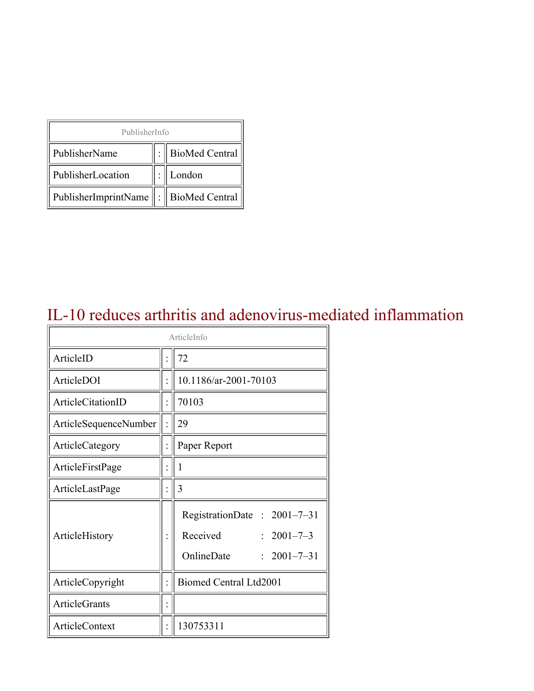| PublisherInfo                         |  |                    |  |  |
|---------------------------------------|--|--------------------|--|--|
| PublisherName                         |  | :   BioMed Central |  |  |
| PublisherLocation                     |  | London             |  |  |
| PublisherImprintName : BioMed Central |  |                    |  |  |

### IL-10 reduces arthritis and adenovirus-mediated inflammation

| ArticleInfo           |  |                                                                                                |
|-----------------------|--|------------------------------------------------------------------------------------------------|
| ArticleID             |  | 72                                                                                             |
| ArticleDOI            |  | 10.1186/ar-2001-70103                                                                          |
| ArticleCitationID     |  | 70103                                                                                          |
| ArticleSequenceNumber |  | 29                                                                                             |
| ArticleCategory       |  | Paper Report                                                                                   |
| ArticleFirstPage      |  | 1                                                                                              |
| ArticleLastPage       |  | 3                                                                                              |
| ArticleHistory        |  | RegistrationDate: 2001-7-31<br>Received<br>$: 2001 - 7 - 3$<br>OnlineDate<br>$: 2001 - 7 - 31$ |
| ArticleCopyright      |  | Biomed Central Ltd2001                                                                         |
| ArticleGrants         |  |                                                                                                |
| <b>ArticleContext</b> |  | 130753311                                                                                      |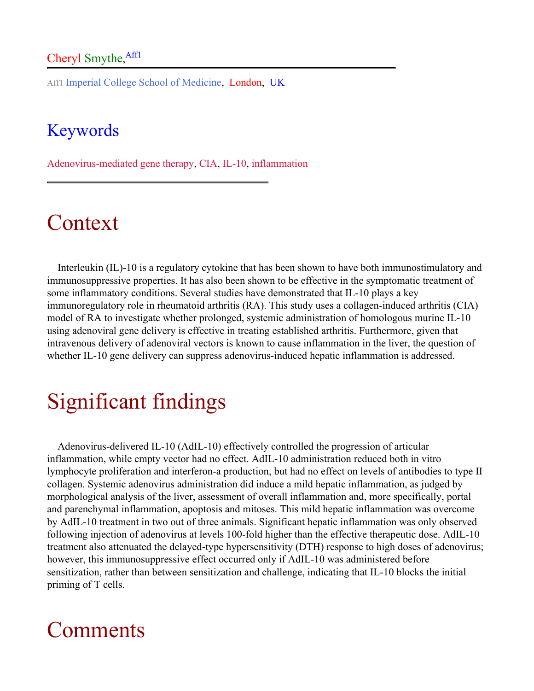#### Cheryl Smythe, Aff1

Aff1 Imperial College School of Medicine, London, UK

#### **Keywords**

Adenovirus-mediated gene therapy, CIA, IL-10, inflammation

### Context

Interleukin (IL)-10 is a regulatory cytokine that has been shown to have both immunostimulatory and immunosuppressive properties. It has also been shown to be effective in the symptomatic treatment of some inflammatory conditions. Several studies have demonstrated that IL-10 plays a key immunoregulatory role in rheumatoid arthritis (RA). This study uses a collagen-induced arthritis (CIA) model of RA to investigate whether prolonged, systemic administration of homologous murine IL-10 using adenoviral gene delivery is effective in treating established arthritis. Furthermore, given that intravenous delivery of adenoviral vectors is known to cause inflammation in the liver, the question of whether IL-10 gene delivery can suppress adenovirus-induced hepatic inflammation is addressed.

# Significant findings

Adenovirus-delivered IL-10 (AdIL-10) effectively controlled the progression of articular inflammation, while empty vector had no effect. AdIL-10 administration reduced both in vitro lymphocyte proliferation and interferon-a production, but had no effect on levels of antibodies to type II collagen. Systemic adenovirus administration did induce a mild hepatic inflammation, as judged by morphological analysis of the liver, assessment of overall inflammation and, more specifically, portal and parenchymal inflammation, apoptosis and mitoses. This mild hepatic inflammation was overcome by AdIL-10 treatment in two out of three animals. Significant hepatic inflammation was only observed following injection of adenovirus at levels 100-fold higher than the effective therapeutic dose. AdIL-10 treatment also attenuated the delayed-type hypersensitivity (DTH) response to high doses of adenovirus; however, this immunosuppressive effect occurred only if AdIL-10 was administered before sensitization, rather than between sensitization and challenge, indicating that IL-10 blocks the initial priming of T cells.

### Comments